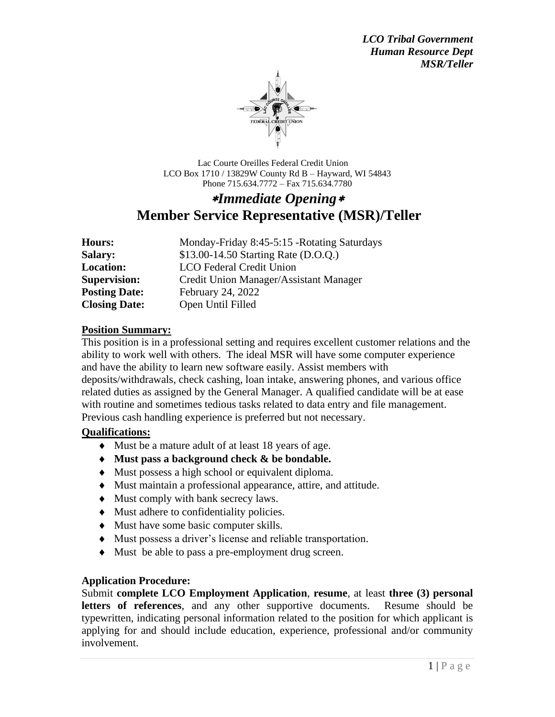

 Lac Courte Oreilles Federal Credit Union LCO Box 1710 / 13829W County Rd B – Hayward, WI 54843 Phone 715.634.7772 – Fax 715.634.7780

# *Immediate Opening* **Member Service Representative (MSR)/Teller**

| Hours:               | Monday-Friday 8:45-5:15 -Rotating Saturdays |
|----------------------|---------------------------------------------|
| <b>Salary:</b>       | \$13.00-14.50 Starting Rate (D.O.Q.)        |
| <b>Location:</b>     | <b>LCO</b> Federal Credit Union             |
| <b>Supervision:</b>  | Credit Union Manager/Assistant Manager      |
| <b>Posting Date:</b> | February 24, 2022                           |
| <b>Closing Date:</b> | Open Until Filled                           |

#### **Position Summary:**

This position is in a professional setting and requires excellent customer relations and the ability to work well with others. The ideal MSR will have some computer experience and have the ability to learn new software easily. Assist members with deposits/withdrawals, check cashing, loan intake, answering phones, and various office related duties as assigned by the General Manager. A qualified candidate will be at ease with routine and sometimes tedious tasks related to data entry and file management. Previous cash handling experience is preferred but not necessary.

## **Qualifications:**

- Must be a mature adult of at least 18 years of age.
- **Must pass a background check & be bondable.**
- Must possess a high school or equivalent diploma.
- Must maintain a professional appearance, attire, and attitude.
- $\blacklozenge$  Must comply with bank secrecy laws.
- Must adhere to confidentiality policies.
- Must have some basic computer skills.
- Must possess a driver's license and reliable transportation.
- Must be able to pass a pre-employment drug screen.

## **Application Procedure:**

Submit **complete LCO Employment Application**, **resume**, at least **three (3) personal letters of references**, and any other supportive documents. Resume should be typewritten, indicating personal information related to the position for which applicant is applying for and should include education, experience, professional and/or community involvement.